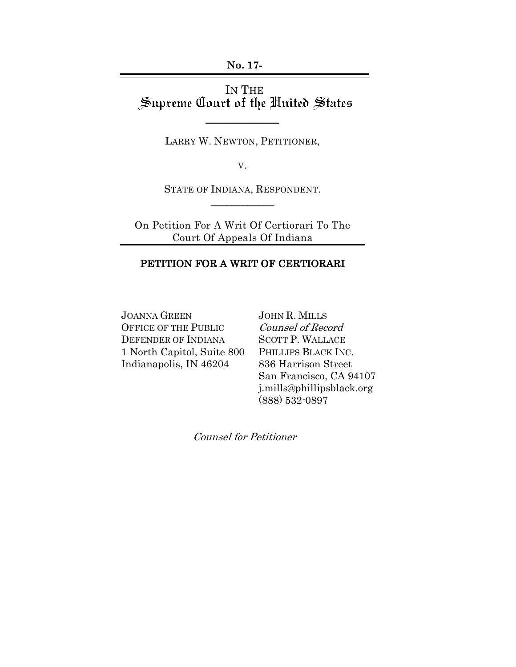**No. 17-**

# IN THE<br>Supreme Court of the United States

LARRY W. NEWTON, PETITIONER,

 $\overline{\phantom{a}}$ 

V.

STATE OF INDIANA, RESPONDENT.  $\overline{\phantom{a}}$ 

On Petition For A Writ Of Certiorari To The Court Of Appeals Of Indiana

#### PETITION FOR A WRIT OF CERTIORARI

JOANNA GREEN OFFICE OF THE PUBLIC DEFENDER OF INDIANA 1 North Capitol, Suite 800 Indianapolis, IN 46204

JOHN R. MILLS Counsel of Record SCOTT P. WALLACE PHILLIPS BLACK INC. 836 Harrison Street San Francisco, CA 94107 j.mills@phillipsblack.org (888) 532-0897

Counsel for Petitioner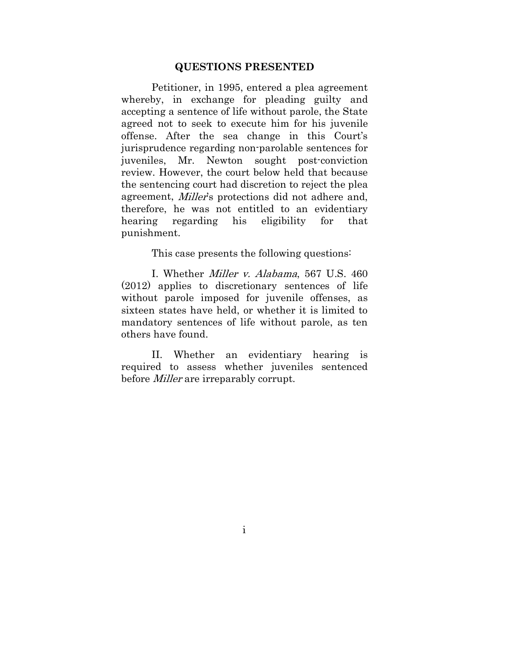#### **QUESTIONS PRESENTED**

Petitioner, in 1995, entered a plea agreement whereby, in exchange for pleading guilty and accepting a sentence of life without parole, the State agreed not to seek to execute him for his juvenile offense. After the sea change in this Court's jurisprudence regarding non-parolable sentences for juveniles, Mr. Newton sought post-conviction review. However, the court below held that because the sentencing court had discretion to reject the plea agreement, Miller's protections did not adhere and, therefore, he was not entitled to an evidentiary hearing regarding his eligibility for that punishment.

This case presents the following questions:

I. Whether Miller v. Alabama, 567 U.S. 460 (2012) applies to discretionary sentences of life without parole imposed for juvenile offenses, as sixteen states have held, or whether it is limited to mandatory sentences of life without parole, as ten others have found.

II. Whether an evidentiary hearing is required to assess whether juveniles sentenced before *Miller* are irreparably corrupt.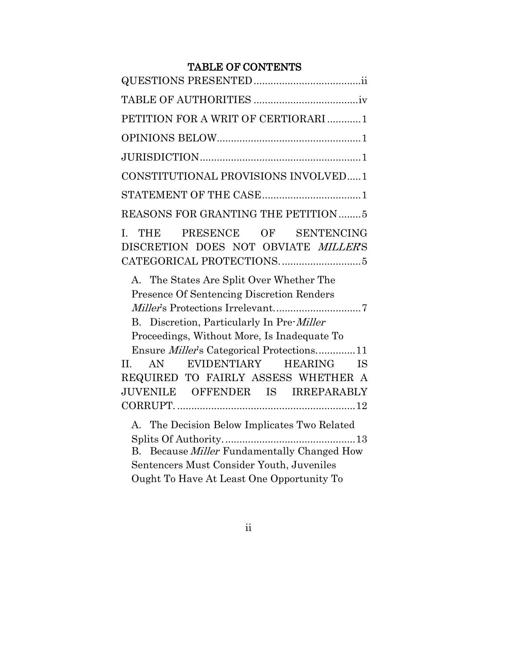## TABLE OF CONTENTS

| PETITION FOR A WRIT OF CERTIORARI 1                                                                                                                                                                                                          |
|----------------------------------------------------------------------------------------------------------------------------------------------------------------------------------------------------------------------------------------------|
|                                                                                                                                                                                                                                              |
|                                                                                                                                                                                                                                              |
| CONSTITUTIONAL PROVISIONS INVOLVED1                                                                                                                                                                                                          |
|                                                                                                                                                                                                                                              |
| <b>REASONS FOR GRANTING THE PETITION 5</b>                                                                                                                                                                                                   |
| THE PRESENCE OF SENTENCING<br>$\mathbf{I}$ .<br>DISCRETION DOES NOT OBVIATE MILLERS                                                                                                                                                          |
| A. The States Are Split Over Whether The<br><b>Presence Of Sentencing Discretion Renders</b><br>B. Discretion, Particularly In Pre-Miller<br>Proceedings, Without More, Is Inadequate To<br>Ensure <i>Miller's</i> Categorical Protections11 |
| AN EVIDENTIARY HEARING IS<br>II.                                                                                                                                                                                                             |
| REQUIRED TO FAIRLY ASSESS WHETHER A<br>JUVENILE OFFENDER IS IRREPARABLY                                                                                                                                                                      |
| A. The Decision Below Implicates Two Related<br>B. Because <i>Miller</i> Fundamentally Changed How<br>Sentencers Must Consider Youth, Juveniles<br>Ought To Have At Least One Opportunity To                                                 |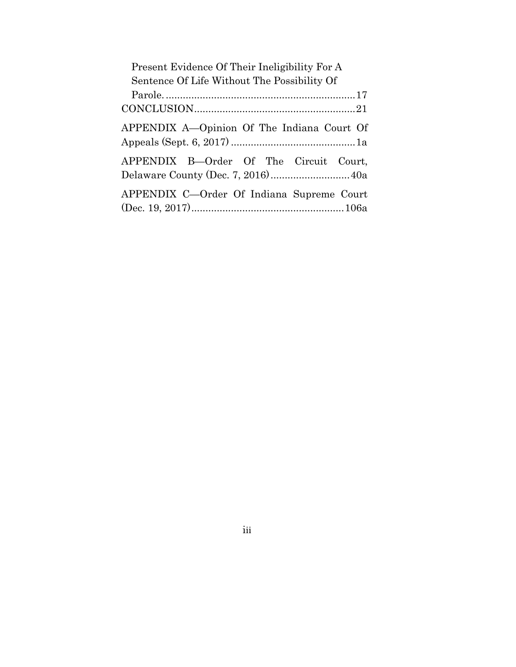| Present Evidence Of Their Ineligibility For A |
|-----------------------------------------------|
| Sentence Of Life Without The Possibility Of   |
|                                               |
|                                               |
| APPENDIX A-Opinion Of The Indiana Court Of    |
| APPENDIX B-Order Of The Circuit Court,        |
| APPENDIX C-Order Of Indiana Supreme Court     |

iii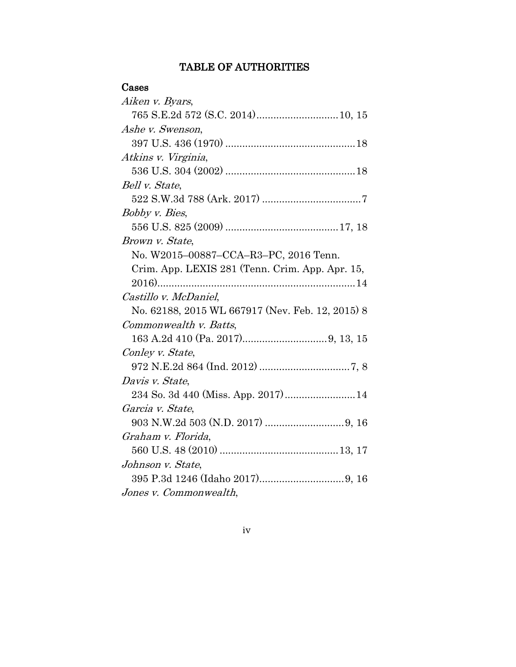# TABLE OF AUTHORITIES

# Cases

| Aiken v. Byars,                                  |
|--------------------------------------------------|
|                                                  |
| Ashe v. Swenson,                                 |
|                                                  |
| Atkins v. Virginia,                              |
|                                                  |
| Bell v. State,                                   |
|                                                  |
| Bobby v. Bies,                                   |
|                                                  |
| Brown v. State,                                  |
| No. W2015-00887-CCA-R3-PC, 2016 Tenn.            |
| Crim. App. LEXIS 281 (Tenn. Crim. App. Apr. 15,  |
|                                                  |
| Castillo v. McDaniel,                            |
| No. 62188, 2015 WL 667917 (Nev. Feb. 12, 2015) 8 |
| Commonwealth v. Batts,                           |
|                                                  |
| Conley v. State,                                 |
|                                                  |
| Davis v. State,                                  |
| 234 So. 3d 440 (Miss. App. 2017) 14              |
| Garcia v. State,                                 |
|                                                  |
| Graham v. Florida,                               |
|                                                  |
| Johnson v. State,                                |
|                                                  |
| Jones v. Commonwealth,                           |

iv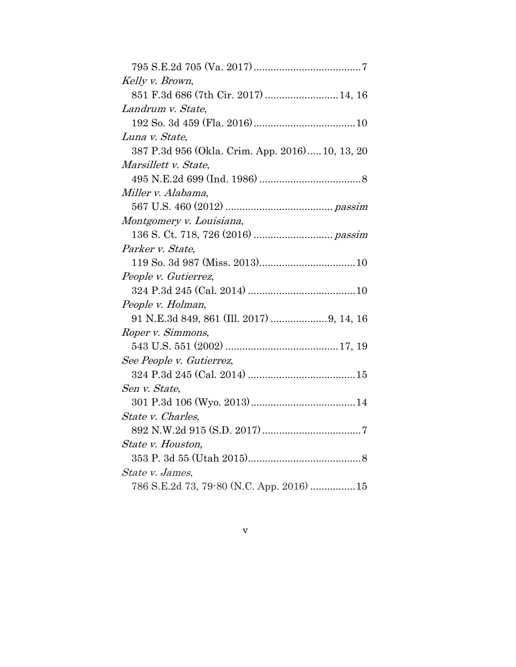| Kelly v. Brown,                                 |
|-------------------------------------------------|
| 851 F.3d 686 (7th Cir. 2017)  14, 16            |
| Landrum v. State,                               |
|                                                 |
| Luna v. State,                                  |
| 387 P.3d 956 (Okla. Crim. App. 2016) 10, 13, 20 |
| Marsillett v. State,                            |
|                                                 |
| Miller v. Alabama,                              |
|                                                 |
| Montgomery v. Louisiana,                        |
|                                                 |
| Parker v. State,                                |
|                                                 |
| People v. Gutierrez,                            |
|                                                 |
| People v. Holman,                               |
| 91 N.E.3d 849, 861 (Ill. 2017)  9, 14, 16       |
| Roper v. Simmons,                               |
|                                                 |
| See People v. Gutierrez,                        |
|                                                 |
| Sen v. State,                                   |
|                                                 |
| State v. Charles,                               |
|                                                 |
| State v. Houston,                               |
|                                                 |
| State v. James,                                 |
| 786 S.E.2d 73, 79-80 (N.C. App. 2016)  15       |
|                                                 |

v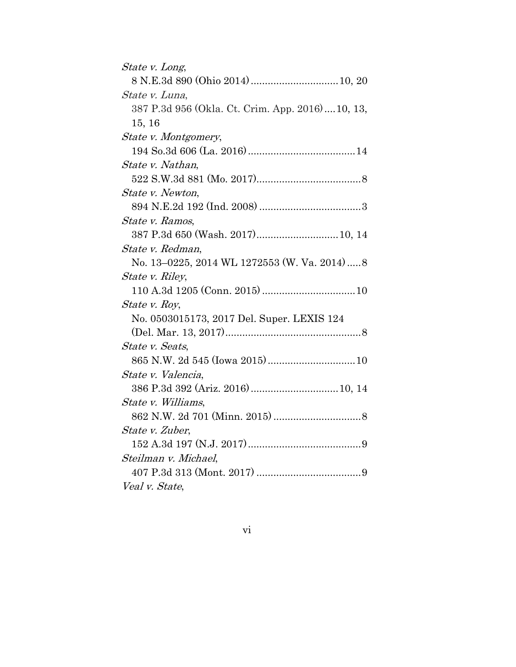| <i>State v. Long</i> ,                            |
|---------------------------------------------------|
|                                                   |
| State v. Luna,                                    |
| 387 P.3d 956 (Okla. Ct. Crim. App. 2016)  10, 13, |
| 15, 16                                            |
| State v. Montgomery,                              |
|                                                   |
| State v. Nathan,                                  |
|                                                   |
| State v. Newton,                                  |
|                                                   |
| State v. Ramos,                                   |
| 387 P.3d 650 (Wash. 2017) 10, 14                  |
| State v. Redman,                                  |
| No. 13-0225, 2014 WL 1272553 (W. Va. 2014)8       |
| State v. Riley,                                   |
|                                                   |
| <i>State v. Roy,</i>                              |
| No. 0503015173, 2017 Del. Super. LEXIS 124        |
|                                                   |
| State v. Seats,                                   |
|                                                   |
| State v. Valencia,                                |
|                                                   |
| State v. Williams,                                |
|                                                   |
| State v. Zuber,                                   |
|                                                   |
| Steilman v. Michael,                              |
|                                                   |
| Veal v. State,                                    |

vi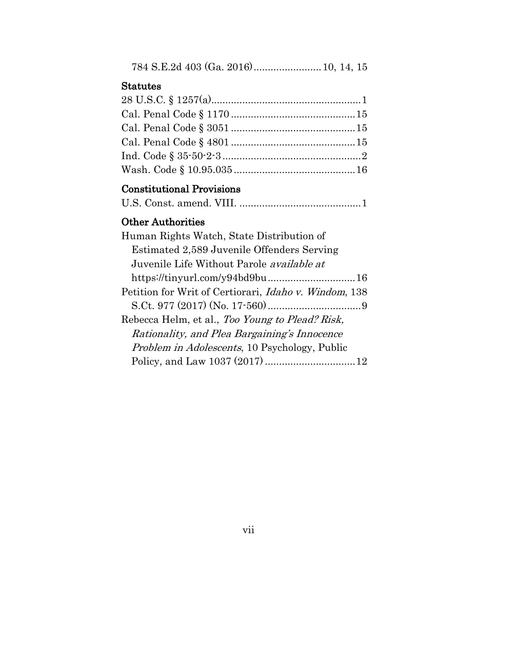| Statutes                                         |  |
|--------------------------------------------------|--|
|                                                  |  |
|                                                  |  |
|                                                  |  |
|                                                  |  |
|                                                  |  |
|                                                  |  |
| <b>Constitutional Provisions</b>                 |  |
|                                                  |  |
| <b>Other Authorities</b>                         |  |
| Human Rights Watch, State Distribution of        |  |
| Estimated 2,589 Juvenile Offenders Serving       |  |
| Juvenile Life Without Parole <i>available at</i> |  |
|                                                  |  |

|--|--|--|

# vii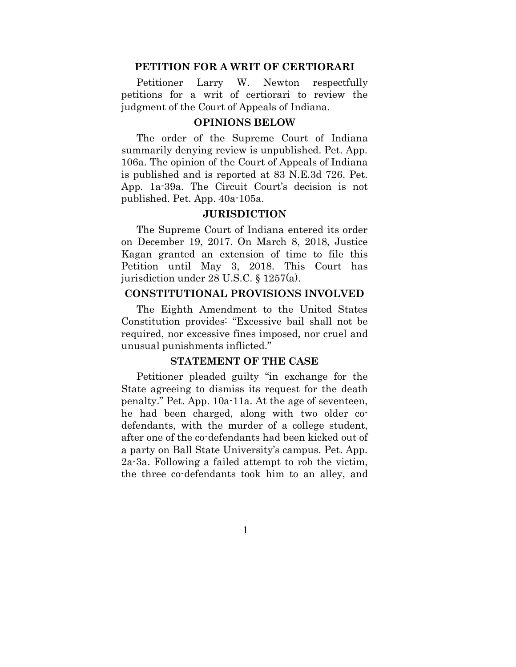#### **PETITION FOR A WRIT OF CERTIORARI**

Petitioner Larry W. Newton respectfully petitions for a writ of certiorari to review the judgment of the Court of Appeals of Indiana.

#### **OPINIONS BELOW**

The order of the Supreme Court of Indiana summarily denying review is unpublished. Pet. App. 106a. The opinion of the Court of Appeals of Indiana is published and is reported at 83 N.E.3d 726. Pet. App. 1a-39a. The Circuit Court's decision is not published. Pet. App. 40a-105a.

#### **JURISDICTION**

The Supreme Court of Indiana entered its order on December 19, 2017. On March 8, 2018, Justice Kagan granted an extension of time to file this Petition until May 3, 2018. This Court has jurisdiction under 28 U.S.C. § 1257(a).

#### **CONSTITUTIONAL PROVISIONS INVOLVED**

The Eighth Amendment to the United States Constitution provides: "Excessive bail shall not be required, nor excessive fines imposed, nor cruel and unusual punishments inflicted."

#### **STATEMENT OF THE CASE**

Petitioner pleaded guilty "in exchange for the State agreeing to dismiss its request for the death penalty." Pet. App. 10a-11a. At the age of seventeen, he had been charged, along with two older codefendants, with the murder of a college student, after one of the co-defendants had been kicked out of a party on Ball State University's campus. Pet. App. 2a-3a. Following a failed attempt to rob the victim, the three co-defendants took him to an alley, and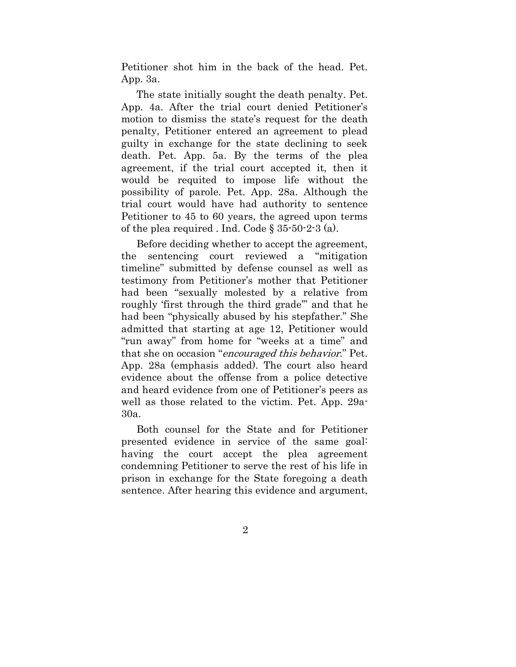Petitioner shot him in the back of the head. Pet. App. 3a.

The state initially sought the death penalty. Pet. App. 4a. After the trial court denied Petitioner's motion to dismiss the state's request for the death penalty, Petitioner entered an agreement to plead guilty in exchange for the state declining to seek death. Pet. App. 5a. By the terms of the plea agreement, if the trial court accepted it, then it would be requited to impose life without the possibility of parole. Pet. App. 28a. Although the trial court would have had authority to sentence Petitioner to 45 to 60 years, the agreed upon terms of the plea required . Ind. Code  $\S 35-50-2-3$  (a).

Before deciding whether to accept the agreement, the sentencing court reviewed a "mitigation timeline" submitted by defense counsel as well as testimony from Petitioner's mother that Petitioner had been "sexually molested by a relative from roughly 'first through the third grade'" and that he had been "physically abused by his stepfather." She admitted that starting at age 12, Petitioner would "run away" from home for "weeks at a time" and that she on occasion "encouraged this behavior." Pet. App. 28a (emphasis added). The court also heard evidence about the offense from a police detective and heard evidence from one of Petitioner's peers as well as those related to the victim. Pet. App. 29a-30a.

Both counsel for the State and for Petitioner presented evidence in service of the same goal: having the court accept the plea agreement condemning Petitioner to serve the rest of his life in prison in exchange for the State foregoing a death sentence. After hearing this evidence and argument,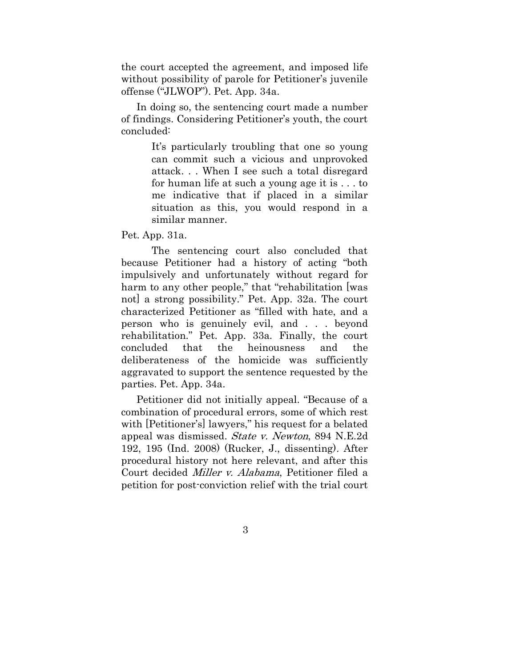the court accepted the agreement, and imposed life without possibility of parole for Petitioner's juvenile offense ("JLWOP"). Pet. App. 34a.

In doing so, the sentencing court made a number of findings. Considering Petitioner's youth, the court concluded:

> It's particularly troubling that one so young can commit such a vicious and unprovoked attack. . . When I see such a total disregard for human life at such a young age it is . . . to me indicative that if placed in a similar situation as this, you would respond in a similar manner.

Pet. App. 31a.

The sentencing court also concluded that because Petitioner had a history of acting "both impulsively and unfortunately without regard for harm to any other people," that "rehabilitation [was not] a strong possibility." Pet. App. 32a. The court characterized Petitioner as "filled with hate, and a person who is genuinely evil, and . . . beyond rehabilitation." Pet. App. 33a. Finally, the court concluded that the heinousness and the deliberateness of the homicide was sufficiently aggravated to support the sentence requested by the parties. Pet. App. 34a.

Petitioner did not initially appeal. "Because of a combination of procedural errors, some of which rest with [Petitioner's] lawyers," his request for a belated appeal was dismissed. State v. Newton, 894 N.E.2d 192, 195 (Ind. 2008) (Rucker, J., dissenting). After procedural history not here relevant, and after this Court decided Miller v. Alabama, Petitioner filed a petition for post-conviction relief with the trial court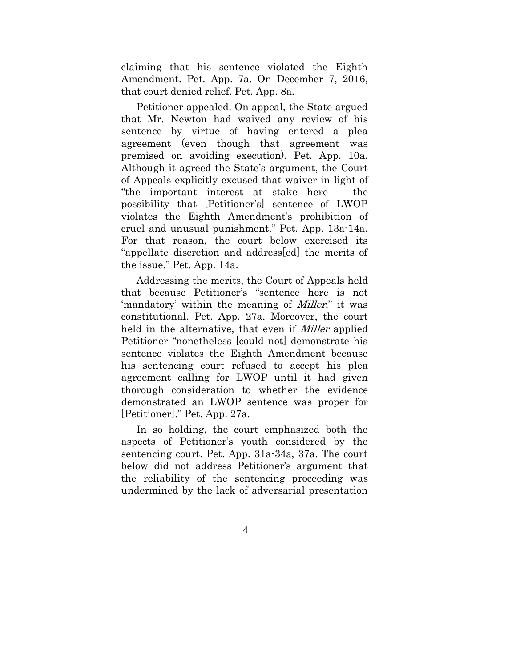claiming that his sentence violated the Eighth Amendment. Pet. App. 7a. On December 7, 2016, that court denied relief. Pet. App. 8a.

Petitioner appealed. On appeal, the State argued that Mr. Newton had waived any review of his sentence by virtue of having entered a plea agreement (even though that agreement was premised on avoiding execution). Pet. App. 10a. Although it agreed the State's argument, the Court of Appeals explicitly excused that waiver in light of "the important interest at stake here – the possibility that [Petitioner's] sentence of LWOP violates the Eighth Amendment's prohibition of cruel and unusual punishment." Pet. App. 13a-14a. For that reason, the court below exercised its "appellate discretion and address[ed] the merits of the issue." Pet. App. 14a.

Addressing the merits, the Court of Appeals held that because Petitioner's "sentence here is not 'mandatory' within the meaning of *Miller*," it was constitutional. Pet. App. 27a. Moreover, the court held in the alternative, that even if *Miller* applied Petitioner "nonetheless [could not] demonstrate his sentence violates the Eighth Amendment because his sentencing court refused to accept his plea agreement calling for LWOP until it had given thorough consideration to whether the evidence demonstrated an LWOP sentence was proper for [Petitioner]." Pet. App. 27a.

In so holding, the court emphasized both the aspects of Petitioner's youth considered by the sentencing court. Pet. App. 31a-34a, 37a. The court below did not address Petitioner's argument that the reliability of the sentencing proceeding was undermined by the lack of adversarial presentation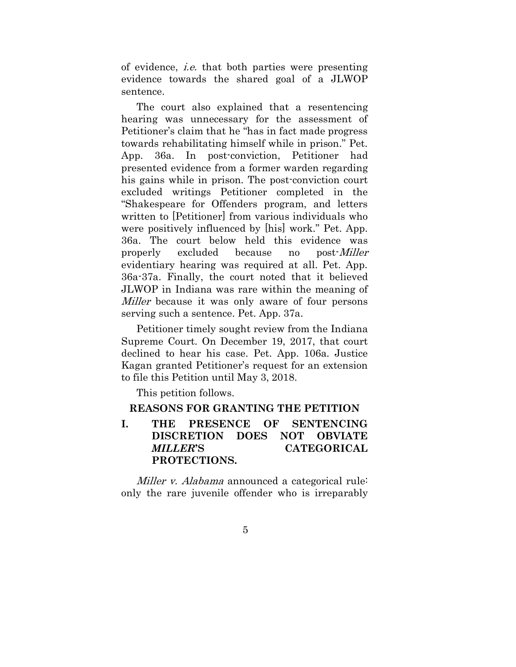of evidence, i.e. that both parties were presenting evidence towards the shared goal of a JLWOP sentence.

The court also explained that a resentencing hearing was unnecessary for the assessment of Petitioner's claim that he "has in fact made progress towards rehabilitating himself while in prison." Pet. App. 36a. In post-conviction, Petitioner had presented evidence from a former warden regarding his gains while in prison. The post-conviction court excluded writings Petitioner completed in the "Shakespeare for Offenders program, and letters written to [Petitioner] from various individuals who were positively influenced by [his] work." Pet. App. 36a. The court below held this evidence was properly excluded because no post-Miller evidentiary hearing was required at all. Pet. App. 36a-37a. Finally, the court noted that it believed JLWOP in Indiana was rare within the meaning of Miller because it was only aware of four persons serving such a sentence. Pet. App. 37a.

Petitioner timely sought review from the Indiana Supreme Court. On December 19, 2017, that court declined to hear his case. Pet. App. 106a. Justice Kagan granted Petitioner's request for an extension to file this Petition until May 3, 2018.

This petition follows.

#### **REASONS FOR GRANTING THE PETITION**

## **I. THE PRESENCE OF SENTENCING DISCRETION DOES NOT OBVIATE** *MILLER***'S CATEGORICAL PROTECTIONS.**

Miller v. Alabama announced a categorical rule: only the rare juvenile offender who is irreparably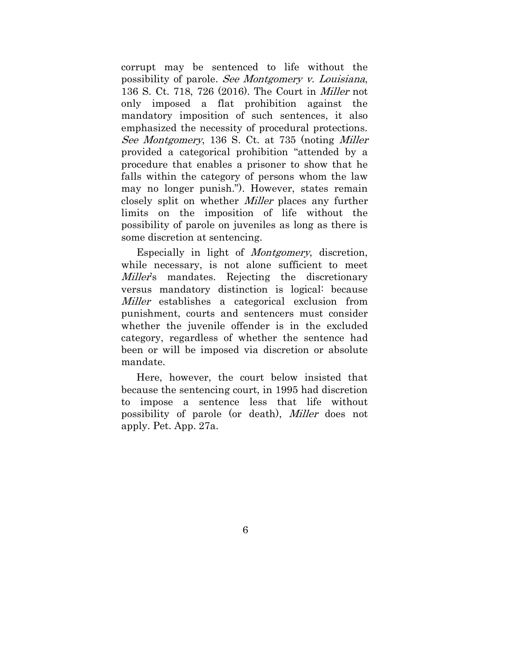corrupt may be sentenced to life without the possibility of parole. See Montgomery v. Louisiana, 136 S. Ct. 718, 726 (2016). The Court in Miller not only imposed a flat prohibition against the mandatory imposition of such sentences, it also emphasized the necessity of procedural protections. See Montgomery, 136 S. Ct. at 735 (noting Miller provided a categorical prohibition "attended by a procedure that enables a prisoner to show that he falls within the category of persons whom the law may no longer punish."). However, states remain closely split on whether Miller places any further limits on the imposition of life without the possibility of parole on juveniles as long as there is some discretion at sentencing.

Especially in light of *Montgomery*, discretion, while necessary, is not alone sufficient to meet Miller's mandates. Rejecting the discretionary versus mandatory distinction is logical: because Miller establishes a categorical exclusion from punishment, courts and sentencers must consider whether the juvenile offender is in the excluded category, regardless of whether the sentence had been or will be imposed via discretion or absolute mandate.

Here, however, the court below insisted that because the sentencing court, in 1995 had discretion to impose a sentence less that life without possibility of parole (or death), Miller does not apply. Pet. App. 27a.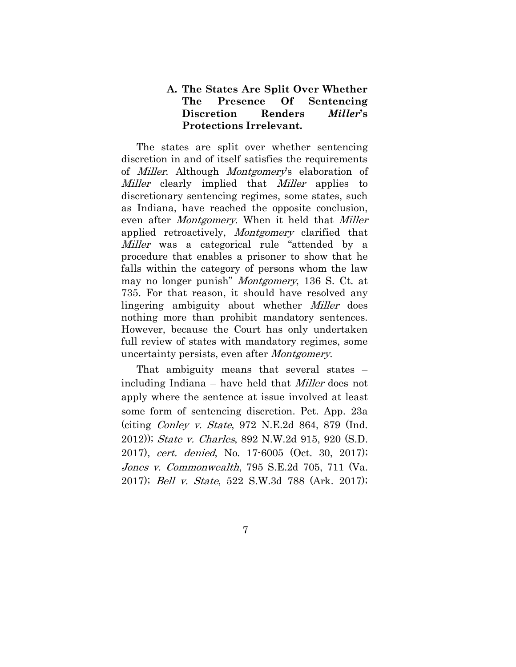## **A. The States Are Split Over Whether The Presence Of Sentencing Discretion Renders** *Miller***'s Protections Irrelevant.**

The states are split over whether sentencing discretion in and of itself satisfies the requirements of Miller. Although Montgomery's elaboration of Miller clearly implied that Miller applies to discretionary sentencing regimes, some states, such as Indiana, have reached the opposite conclusion, even after *Montgomery*. When it held that *Miller* applied retroactively, *Montgomery* clarified that Miller was a categorical rule "attended by a procedure that enables a prisoner to show that he falls within the category of persons whom the law may no longer punish" *Montgomery*, 136 S. Ct. at 735. For that reason, it should have resolved any lingering ambiguity about whether Miller does nothing more than prohibit mandatory sentences. However, because the Court has only undertaken full review of states with mandatory regimes, some uncertainty persists, even after Montgomery.

That ambiguity means that several states – including Indiana – have held that Miller does not apply where the sentence at issue involved at least some form of sentencing discretion. Pet. App. 23a (citing Conley v. State, 972 N.E.2d 864, 879 (Ind. 2012)); State v. Charles, 892 N.W.2d 915, 920 (S.D. 2017), cert. denied, No. 17-6005 (Oct. 30, 2017); Jones v. Commonwealth, 795 S.E.2d 705, 711 (Va. 2017); Bell v. State, 522 S.W.3d 788 (Ark. 2017);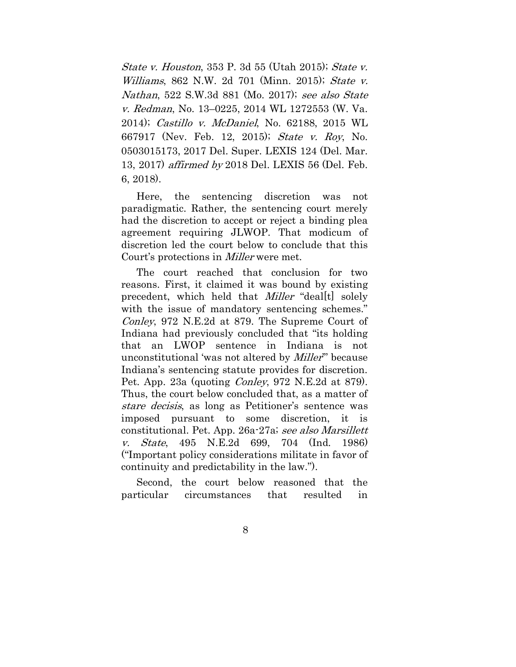State v. Houston, 353 P. 3d 55 (Utah 2015); State v. Williams, 862 N.W. 2d 701 (Minn. 2015); State v. Nathan, 522 S.W.3d 881 (Mo. 2017); see also State v. Redman, No. 13–0225, 2014 WL 1272553 (W. Va. 2014); Castillo v. McDaniel, No. 62188, 2015 WL 667917 (Nev. Feb. 12, 2015); State v. Roy, No. 0503015173, 2017 Del. Super. LEXIS 124 (Del. Mar. 13, 2017) affirmed by 2018 Del. LEXIS 56 (Del. Feb. 6, 2018).

Here, the sentencing discretion was not paradigmatic. Rather, the sentencing court merely had the discretion to accept or reject a binding plea agreement requiring JLWOP. That modicum of discretion led the court below to conclude that this Court's protections in Miller were met.

The court reached that conclusion for two reasons. First, it claimed it was bound by existing precedent, which held that *Miller* "deal<sup>[t]</sup> solely with the issue of mandatory sentencing schemes." Conley, 972 N.E.2d at 879. The Supreme Court of Indiana had previously concluded that "its holding that an LWOP sentence in Indiana is not unconstitutional 'was not altered by *Miller*" because Indiana's sentencing statute provides for discretion. Pet. App. 23a (quoting *Conley*, 972 N.E.2d at 879). Thus, the court below concluded that, as a matter of stare decisis, as long as Petitioner's sentence was imposed pursuant to some discretion, it is constitutional. Pet. App. 26a-27a; see also Marsillett v. State, 495 N.E.2d 699, 704 (Ind. 1986) ("Important policy considerations militate in favor of continuity and predictability in the law.").

Second, the court below reasoned that the particular circumstances that resulted in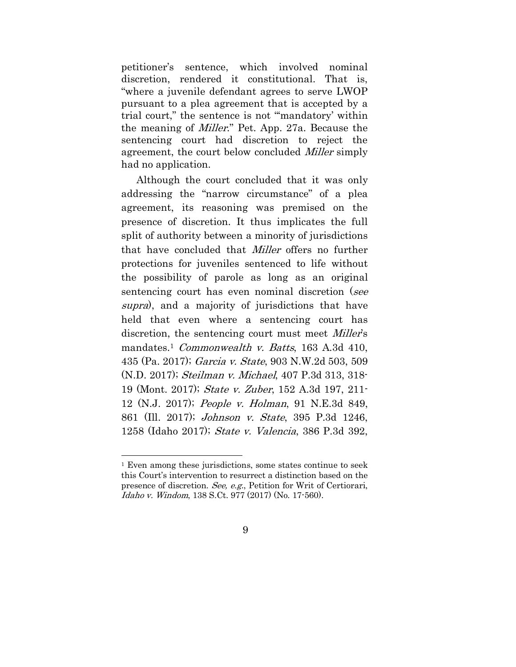petitioner's sentence, which involved nominal discretion, rendered it constitutional. That is, "where a juvenile defendant agrees to serve LWOP pursuant to a plea agreement that is accepted by a trial court," the sentence is not "'mandatory' within the meaning of Miller." Pet. App. 27a. Because the sentencing court had discretion to reject the agreement, the court below concluded *Miller* simply had no application.

Although the court concluded that it was only addressing the "narrow circumstance" of a plea agreement, its reasoning was premised on the presence of discretion. It thus implicates the full split of authority between a minority of jurisdictions that have concluded that Miller offers no further protections for juveniles sentenced to life without the possibility of parole as long as an original sentencing court has even nominal discretion (see supra), and a majority of jurisdictions that have held that even where a sentencing court has discretion, the sentencing court must meet *Miller's* mandates.<sup>1</sup> Commonwealth v. Batts, 163 A.3d 410, 435 (Pa. 2017); Garcia v. State, 903 N.W.2d 503, 509 (N.D. 2017); Steilman v. Michael, 407 P.3d 313, 318- 19 (Mont. 2017); State v. Zuber, 152 A.3d 197, 211- 12 (N.J. 2017); People v. Holman, 91 N.E.3d 849, 861 (Ill. 2017); Johnson v. State, 395 P.3d 1246, 1258 (Idaho 2017); State v. Valencia, 386 P.3d 392,

<sup>1</sup> Even among these jurisdictions, some states continue to seek this Court's intervention to resurrect a distinction based on the presence of discretion. See, e.g., Petition for Writ of Certiorari, Idaho v. Windom, 138 S.Ct. 977 (2017) (No. 17-560).

<sup>9</sup>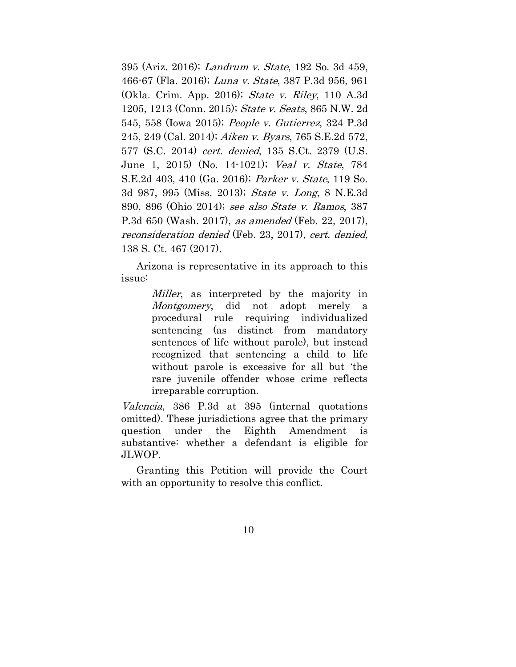395 (Ariz. 2016); Landrum v. State, 192 So. 3d 459, 466-67 (Fla. 2016); Luna v. State, 387 P.3d 956, 961 (Okla. Crim. App. 2016); State v. Riley, 110 A.3d 1205, 1213 (Conn. 2015); State v. Seats, 865 N.W. 2d 545, 558 (Iowa 2015); People v. Gutierrez, 324 P.3d 245, 249 (Cal. 2014); Aiken v. Byars, 765 S.E.2d 572, 577 (S.C. 2014) cert. denied, 135 S.Ct. 2379 (U.S. June 1, 2015) (No. 14-1021); Veal v. State, 784 S.E.2d 403, 410 (Ga. 2016); Parker v. State, 119 So. 3d 987, 995 (Miss. 2013); State v. Long, 8 N.E.3d 890, 896 (Ohio 2014); see also State v. Ramos, 387 P.3d 650 (Wash. 2017), as amended (Feb. 22, 2017), reconsideration denied (Feb. 23, 2017), cert. denied, 138 S. Ct. 467 (2017).

Arizona is representative in its approach to this issue:

> *Miller*, as interpreted by the majority in Montgomery, did not adopt merely a procedural rule requiring individualized sentencing (as distinct from mandatory sentences of life without parole), but instead recognized that sentencing a child to life without parole is excessive for all but 'the rare juvenile offender whose crime reflects irreparable corruption.

Valencia, 386 P.3d at 395 (internal quotations omitted). These jurisdictions agree that the primary question under the Eighth Amendment is substantive: whether a defendant is eligible for JLWOP.

Granting this Petition will provide the Court with an opportunity to resolve this conflict.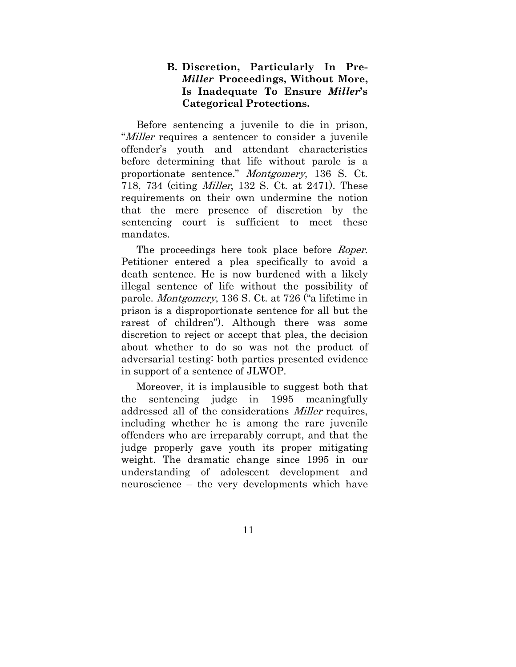## **B. Discretion, Particularly In Pre-***Miller* **Proceedings, Without More, Is Inadequate To Ensure** *Miller***'s Categorical Protections.**

Before sentencing a juvenile to die in prison, "*Miller* requires a sentencer to consider a juvenile offender's youth and attendant characteristics before determining that life without parole is a proportionate sentence." Montgomery, 136 S. Ct. 718, 734 (citing Miller, 132 S. Ct. at 2471). These requirements on their own undermine the notion that the mere presence of discretion by the sentencing court is sufficient to meet these mandates.

The proceedings here took place before *Roper*. Petitioner entered a plea specifically to avoid a death sentence. He is now burdened with a likely illegal sentence of life without the possibility of parole. Montgomery, 136 S. Ct. at 726 ("a lifetime in prison is a disproportionate sentence for all but the rarest of children"). Although there was some discretion to reject or accept that plea, the decision about whether to do so was not the product of adversarial testing: both parties presented evidence in support of a sentence of JLWOP.

Moreover, it is implausible to suggest both that the sentencing judge in 1995 meaningfully addressed all of the considerations Miller requires, including whether he is among the rare juvenile offenders who are irreparably corrupt, and that the judge properly gave youth its proper mitigating weight. The dramatic change since 1995 in our understanding of adolescent development and neuroscience – the very developments which have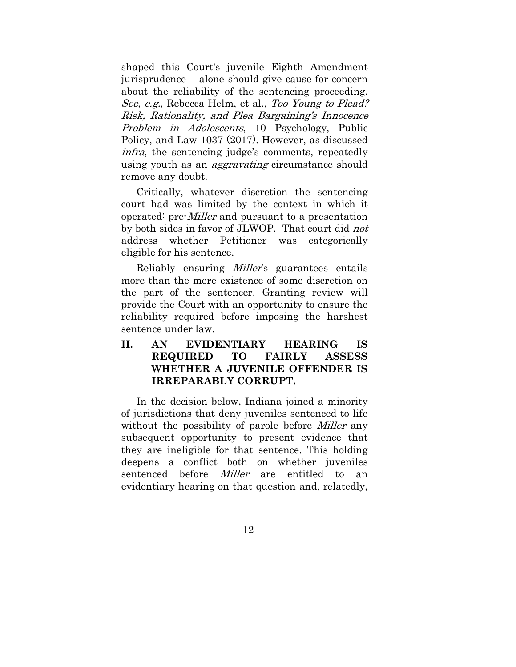shaped this Court's juvenile Eighth Amendment jurisprudence – alone should give cause for concern about the reliability of the sentencing proceeding. See, e.g., Rebecca Helm, et al., Too Young to Plead? Risk, Rationality, and Plea Bargaining's Innocence Problem in Adolescents, 10 Psychology, Public Policy, and Law 1037 (2017). However, as discussed infra, the sentencing judge's comments, repeatedly using youth as an *aggravating* circumstance should remove any doubt.

Critically, whatever discretion the sentencing court had was limited by the context in which it operated: pre-Miller and pursuant to a presentation by both sides in favor of JLWOP. That court did not address whether Petitioner was categorically eligible for his sentence.

Reliably ensuring Miller's guarantees entails more than the mere existence of some discretion on the part of the sentencer. Granting review will provide the Court with an opportunity to ensure the reliability required before imposing the harshest sentence under law.

**II. AN EVIDENTIARY HEARING IS REQUIRED TO FAIRLY ASSESS WHETHER A JUVENILE OFFENDER IS IRREPARABLY CORRUPT.** 

In the decision below, Indiana joined a minority of jurisdictions that deny juveniles sentenced to life without the possibility of parole before *Miller* any subsequent opportunity to present evidence that they are ineligible for that sentence. This holding deepens a conflict both on whether juveniles sentenced before *Miller* are entitled to an evidentiary hearing on that question and, relatedly,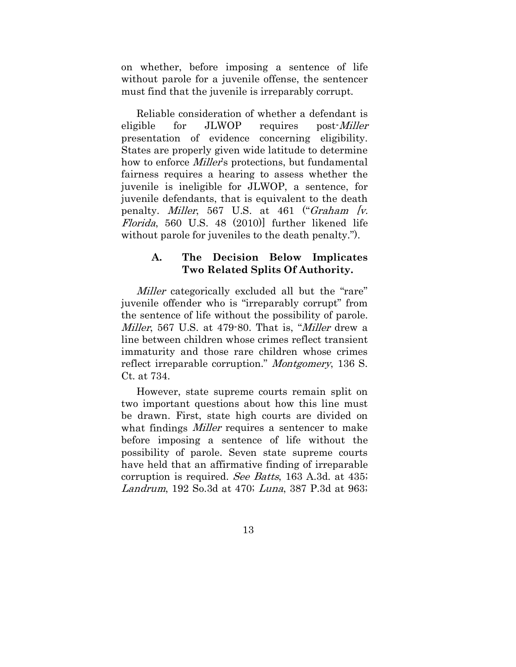on whether, before imposing a sentence of life without parole for a juvenile offense, the sentencer must find that the juvenile is irreparably corrupt.

Reliable consideration of whether a defendant is eligible for JLWOP requires post-*Miller* presentation of evidence concerning eligibility. States are properly given wide latitude to determine how to enforce *Miller's* protections, but fundamental fairness requires a hearing to assess whether the juvenile is ineligible for JLWOP, a sentence, for juvenile defendants, that is equivalent to the death penalty. Miller, 567 U.S. at 461 ("Graham [v. Florida, 560 U.S. 48 (2010)] further likened life without parole for juveniles to the death penalty.").

#### **A. The Decision Below Implicates Two Related Splits Of Authority.**

Miller categorically excluded all but the "rare" juvenile offender who is "irreparably corrupt" from the sentence of life without the possibility of parole. Miller, 567 U.S. at 479-80. That is, "Miller drew a line between children whose crimes reflect transient immaturity and those rare children whose crimes reflect irreparable corruption." Montgomery, 136 S. Ct. at 734.

However, state supreme courts remain split on two important questions about how this line must be drawn. First, state high courts are divided on what findings *Miller* requires a sentencer to make before imposing a sentence of life without the possibility of parole. Seven state supreme courts have held that an affirmative finding of irreparable corruption is required. See Batts, 163 A.3d. at 435; Landrum, 192 So.3d at 470; Luna, 387 P.3d at 963;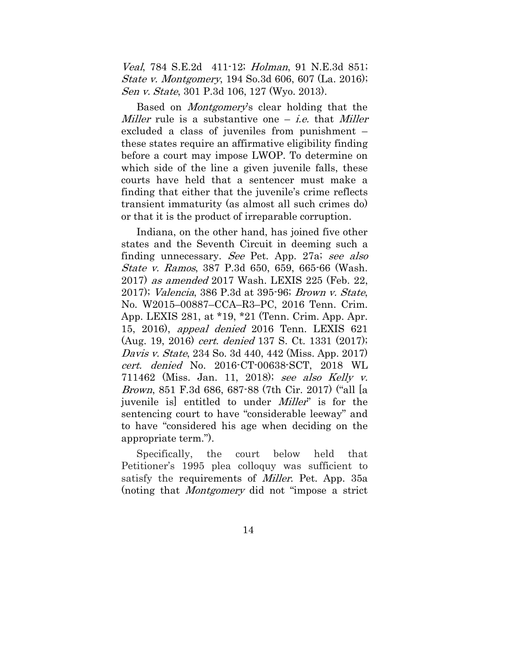Veal, 784 S.E.2d 411-12; *Holman*, 91 N.E.3d 851; State v. Montgomery, 194 So.3d 606, 607 (La. 2016); Sen v. State, 301 P.3d 106, 127 (Wyo. 2013).

Based on Montgomery's clear holding that the Miller rule is a substantive one  $-$  *i.e.* that *Miller* excluded a class of juveniles from punishment – these states require an affirmative eligibility finding before a court may impose LWOP. To determine on which side of the line a given juvenile falls, these courts have held that a sentencer must make a finding that either that the juvenile's crime reflects transient immaturity (as almost all such crimes do) or that it is the product of irreparable corruption.

Indiana, on the other hand, has joined five other states and the Seventh Circuit in deeming such a finding unnecessary. See Pet. App. 27a; see also State v. Ramos, 387 P.3d 650, 659, 665-66 (Wash. 2017) as amended 2017 Wash. LEXIS 225 (Feb. 22, 2017); Valencia, 386 P.3d at 395-96; Brown v. State, No. W2015–00887–CCA–R3–PC, 2016 Tenn. Crim. App. LEXIS 281, at \*19, \*21 (Tenn. Crim. App. Apr. 15, 2016), appeal denied 2016 Tenn. LEXIS 621 (Aug. 19, 2016) cert. denied 137 S. Ct. 1331 (2017); Davis v. State, 234 So. 3d 440, 442 (Miss. App. 2017) cert. denied No. 2016-CT-00638-SCT, 2018 WL 711462 (Miss. Jan. 11, 2018); see also Kelly v. Brown, 851 F.3d 686, 687-88 (7th Cir. 2017) ("all [a juvenile is entitled to under *Miller*" is for the sentencing court to have "considerable leeway" and to have "considered his age when deciding on the appropriate term.").

Specifically, the court below held that Petitioner's 1995 plea colloquy was sufficient to satisfy the requirements of *Miller*. Pet. App. 35a (noting that Montgomery did not "impose a strict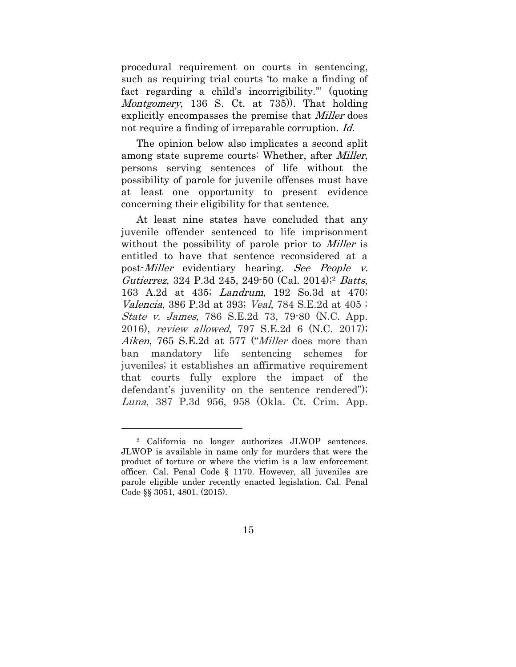procedural requirement on courts in sentencing, such as requiring trial courts 'to make a finding of fact regarding a child's incorrigibility.'" (quoting Montgomery, 136 S. Ct. at 735). That holding explicitly encompasses the premise that *Miller* does not require a finding of irreparable corruption. Id.

The opinion below also implicates a second split among state supreme courts: Whether, after *Miller*, persons serving sentences of life without the possibility of parole for juvenile offenses must have at least one opportunity to present evidence concerning their eligibility for that sentence.

At least nine states have concluded that any juvenile offender sentenced to life imprisonment without the possibility of parole prior to *Miller* is entitled to have that sentence reconsidered at a post-Miller evidentiary hearing. See People v. Gutierrez, 324 P.3d 245, 249-50 (Cal. 2014);2 Batts, 163 A.2d at 435; Landrum, 192 So.3d at 470; Valencia, 386 P.3d at 393; Veal, 784 S.E.2d at 405 ; State v. James, 786 S.E.2d 73, 79-80 (N.C. App. 2016), review allowed, 797 S.E.2d 6 (N.C. 2017); Aiken, 765 S.E.2d at 577 ("*Miller* does more than ban mandatory life sentencing schemes for juveniles; it establishes an affirmative requirement that courts fully explore the impact of the defendant's juvenility on the sentence rendered"); Luna, 387 P.3d 956, 958 (Okla. Ct. Crim. App.

<sup>2</sup> California no longer authorizes JLWOP sentences. JLWOP is available in name only for murders that were the product of torture or where the victim is a law enforcement officer. Cal. Penal Code § 1170. However, all juveniles are parole eligible under recently enacted legislation. Cal. Penal Code §§ 3051, 4801. (2015).

<sup>15</sup>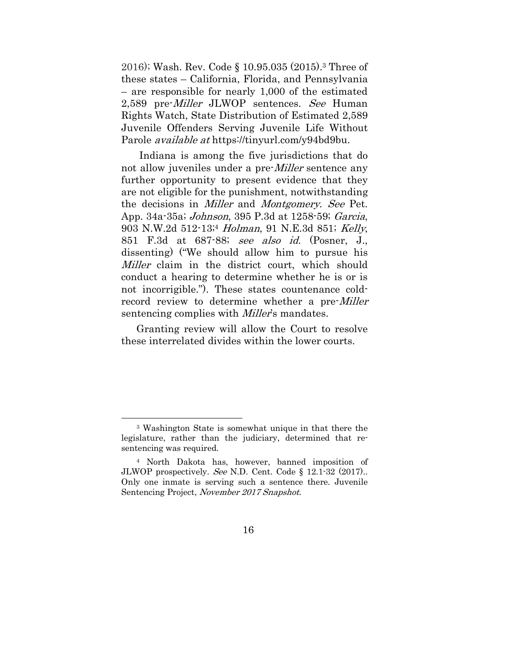2016); Wash. Rev. Code § 10.95.035 (2015).3 Three of these states – California, Florida, and Pennsylvania – are responsible for nearly 1,000 of the estimated 2,589 pre-*Miller* JLWOP sentences. See Human Rights Watch, State Distribution of Estimated 2,589 Juvenile Offenders Serving Juvenile Life Without Parole available at https://tinyurl.com/y94bd9bu.

Indiana is among the five jurisdictions that do not allow juveniles under a pre-*Miller* sentence any further opportunity to present evidence that they are not eligible for the punishment, notwithstanding the decisions in *Miller* and *Montgomery. See* Pet. App. 34a-35a; Johnson, 395 P.3d at 1258-59; Garcia, 903 N.W.2d 512-13;<sup>4</sup> Holman, 91 N.E.3d 851; Kelly, 851 F.3d at 687-88; see also id. (Posner, J., dissenting) ("We should allow him to pursue his *Miller* claim in the district court, which should conduct a hearing to determine whether he is or is not incorrigible."). These states countenance coldrecord review to determine whether a pre-Miller sentencing complies with *Miller*'s mandates.

Granting review will allow the Court to resolve these interrelated divides within the lower courts.

<sup>3</sup> Washington State is somewhat unique in that there the legislature, rather than the judiciary, determined that resentencing was required.

<sup>4</sup> North Dakota has, however, banned imposition of JLWOP prospectively. See N.D. Cent. Code § 12.1-32 (2017).. Only one inmate is serving such a sentence there. Juvenile Sentencing Project, November 2017 Snapshot.

<sup>16</sup>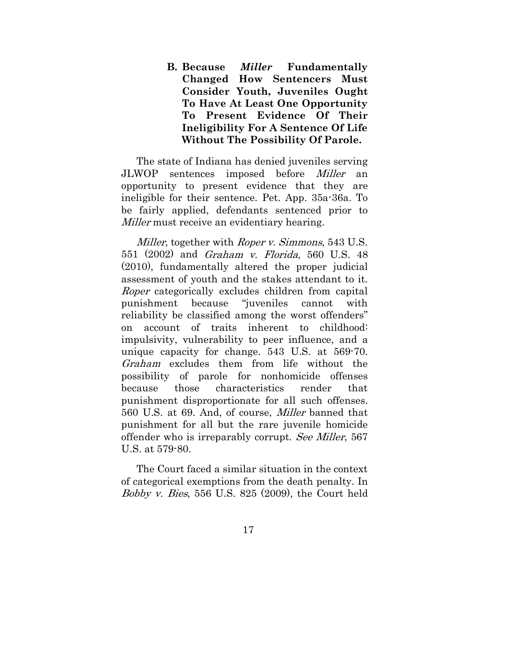**B. Because** *Miller* **Fundamentally Changed How Sentencers Must Consider Youth, Juveniles Ought To Have At Least One Opportunity To Present Evidence Of Their Ineligibility For A Sentence Of Life Without The Possibility Of Parole.** 

The state of Indiana has denied juveniles serving JLWOP sentences imposed before Miller an opportunity to present evidence that they are ineligible for their sentence. Pet. App. 35a-36a. To be fairly applied, defendants sentenced prior to Miller must receive an evidentiary hearing.

Miller, together with *Roper v. Simmons*, 543 U.S. 551 (2002) and Graham v. Florida, 560 U.S. 48 (2010), fundamentally altered the proper judicial assessment of youth and the stakes attendant to it. Roper categorically excludes children from capital punishment because "juveniles cannot with reliability be classified among the worst offenders" on account of traits inherent to childhood: impulsivity, vulnerability to peer influence, and a unique capacity for change. 543 U.S. at 569-70. Graham excludes them from life without the possibility of parole for nonhomicide offenses because those characteristics render that punishment disproportionate for all such offenses. 560 U.S. at 69. And, of course, Miller banned that punishment for all but the rare juvenile homicide offender who is irreparably corrupt. See Miller, 567 U.S. at 579-80.

The Court faced a similar situation in the context of categorical exemptions from the death penalty. In Bobby v. Bies, 556 U.S. 825 (2009), the Court held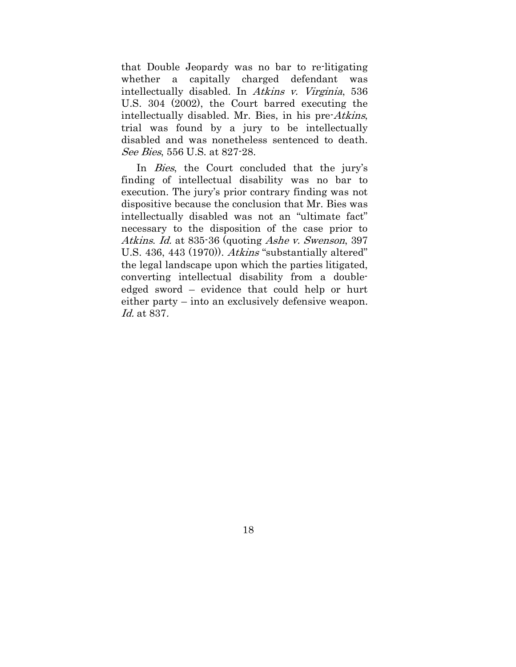that Double Jeopardy was no bar to re-litigating whether a capitally charged defendant was intellectually disabled. In Atkins v. Virginia, 536 U.S. 304 (2002), the Court barred executing the intellectually disabled. Mr. Bies, in his pre-Atkins, trial was found by a jury to be intellectually disabled and was nonetheless sentenced to death. See Bies, 556 U.S. at 827-28.

In Bies, the Court concluded that the jury's finding of intellectual disability was no bar to execution. The jury's prior contrary finding was not dispositive because the conclusion that Mr. Bies was intellectually disabled was not an "ultimate fact" necessary to the disposition of the case prior to Atkins. Id. at 835-36 (quoting Ashe v. Swenson, 397) U.S. 436, 443 (1970)). Atkins "substantially altered" the legal landscape upon which the parties litigated, converting intellectual disability from a doubleedged sword – evidence that could help or hurt either party – into an exclusively defensive weapon. Id. at 837.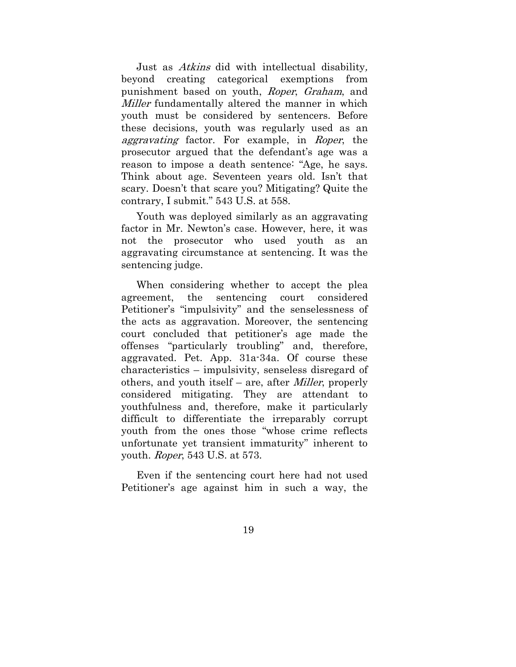Just as Atkins did with intellectual disability, beyond creating categorical exemptions from punishment based on youth, Roper, Graham, and Miller fundamentally altered the manner in which youth must be considered by sentencers. Before these decisions, youth was regularly used as an aggravating factor. For example, in Roper, the prosecutor argued that the defendant's age was a reason to impose a death sentence: "Age, he says. Think about age. Seventeen years old. Isn't that scary. Doesn't that scare you? Mitigating? Quite the contrary, I submit." 543 U.S. at 558.

Youth was deployed similarly as an aggravating factor in Mr. Newton's case. However, here, it was not the prosecutor who used youth as an aggravating circumstance at sentencing. It was the sentencing judge.

When considering whether to accept the plea agreement, the sentencing court considered Petitioner's "impulsivity" and the senselessness of the acts as aggravation. Moreover, the sentencing court concluded that petitioner's age made the offenses "particularly troubling" and, therefore, aggravated. Pet. App. 31a-34a. Of course these characteristics – impulsivity, senseless disregard of others, and youth itself – are, after Miller, properly considered mitigating. They are attendant to youthfulness and, therefore, make it particularly difficult to differentiate the irreparably corrupt youth from the ones those "whose crime reflects unfortunate yet transient immaturity" inherent to youth. Roper, 543 U.S. at 573.

Even if the sentencing court here had not used Petitioner's age against him in such a way, the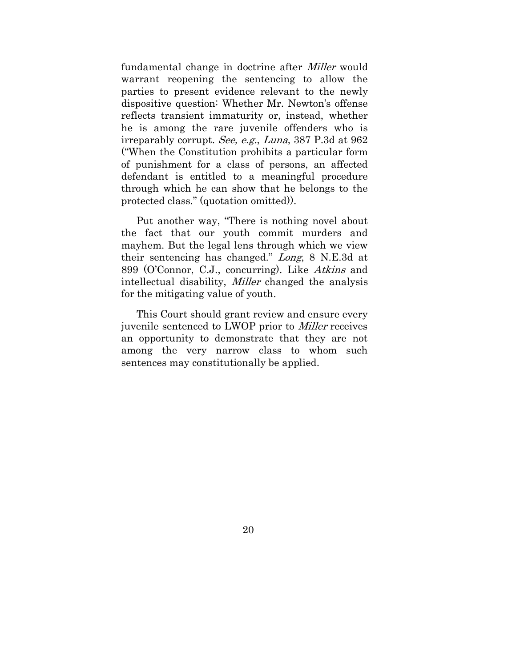fundamental change in doctrine after Miller would warrant reopening the sentencing to allow the parties to present evidence relevant to the newly dispositive question: Whether Mr. Newton's offense reflects transient immaturity or, instead, whether he is among the rare juvenile offenders who is irreparably corrupt. See, e.g., Luna, 387 P.3d at 962 ("When the Constitution prohibits a particular form of punishment for a class of persons, an affected defendant is entitled to a meaningful procedure through which he can show that he belongs to the protected class." (quotation omitted)).

Put another way, "There is nothing novel about the fact that our youth commit murders and mayhem. But the legal lens through which we view their sentencing has changed." Long, 8 N.E.3d at 899 (O'Connor, C.J., concurring). Like Atkins and intellectual disability, Miller changed the analysis for the mitigating value of youth.

This Court should grant review and ensure every juvenile sentenced to LWOP prior to Miller receives an opportunity to demonstrate that they are not among the very narrow class to whom such sentences may constitutionally be applied.